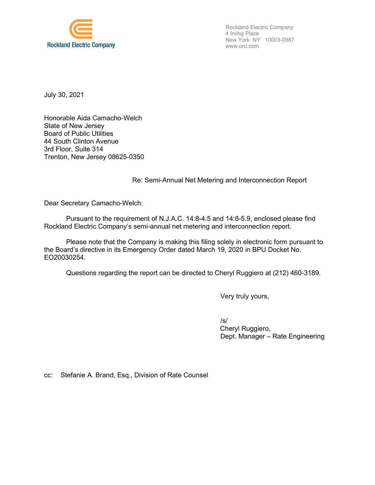

Rockland Electric Company 4 Irving Place New York NY 10003-0987 www.oru.com

July 30, 2021

Honorable Aida Camacho-Welch State of New Jersey Board of Public Utilities 44 South Clinton Avenue 3rd Floor, Suite 314 Trenton, New Jersey 08625-0350

## Re: Semi-Annual Net Metering and Interconnection Report

Dear Secretary Camacho-Welch:

Pursuant to the requirement of N.J.A.C. 14:8-4.5 and 14:8-5.9, enclosed please find Rockland Electric Company's semi-annual net metering and interconnection report.

Please note that the Company is making this filing solely in electronic form pursuant to the Board's directive in its Emergency Order dated March 19, 2020 in BPU Docket No. EO20030254.

Questions regarding the report can be directed to Cheryl Ruggiero at (212) 460-3189.

Very truly yours,

/s/ Cheryl Ruggiero, Dept. Manager – Rate Engineering

cc: Stefanie A. Brand, Esq., Division of Rate Counsel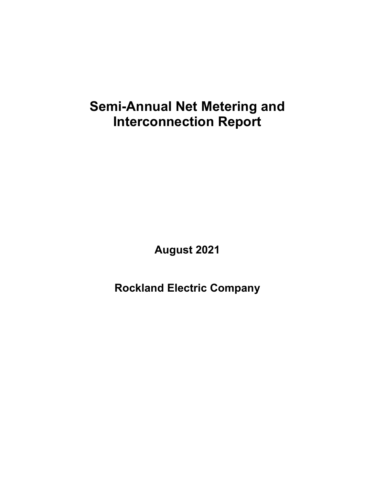## **Semi-Annual Net Metering and Interconnection Report**

**August 2021**

**Rockland Electric Company**